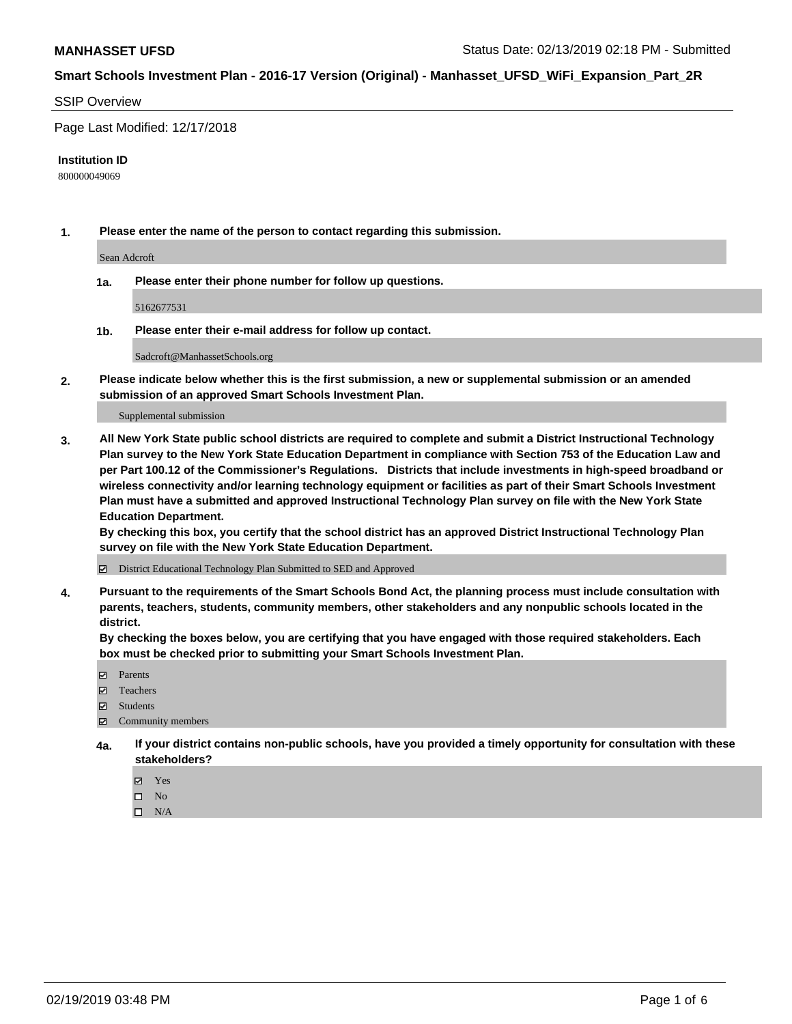#### SSIP Overview

Page Last Modified: 12/17/2018

#### **Institution ID**

800000049069

**1. Please enter the name of the person to contact regarding this submission.**

Sean Adcroft

**1a. Please enter their phone number for follow up questions.**

5162677531

**1b. Please enter their e-mail address for follow up contact.**

Sadcroft@ManhassetSchools.org

**2. Please indicate below whether this is the first submission, a new or supplemental submission or an amended submission of an approved Smart Schools Investment Plan.**

Supplemental submission

**3. All New York State public school districts are required to complete and submit a District Instructional Technology Plan survey to the New York State Education Department in compliance with Section 753 of the Education Law and per Part 100.12 of the Commissioner's Regulations. Districts that include investments in high-speed broadband or wireless connectivity and/or learning technology equipment or facilities as part of their Smart Schools Investment Plan must have a submitted and approved Instructional Technology Plan survey on file with the New York State Education Department.** 

**By checking this box, you certify that the school district has an approved District Instructional Technology Plan survey on file with the New York State Education Department.**

District Educational Technology Plan Submitted to SED and Approved

**4. Pursuant to the requirements of the Smart Schools Bond Act, the planning process must include consultation with parents, teachers, students, community members, other stakeholders and any nonpublic schools located in the district.** 

**By checking the boxes below, you are certifying that you have engaged with those required stakeholders. Each box must be checked prior to submitting your Smart Schools Investment Plan.**

- **□** Parents
- Teachers
- Students
- $\boxtimes$  Community members
- **4a. If your district contains non-public schools, have you provided a timely opportunity for consultation with these stakeholders?**
	- Yes
	- $\qquad \qquad$  No
	- $\square$  N/A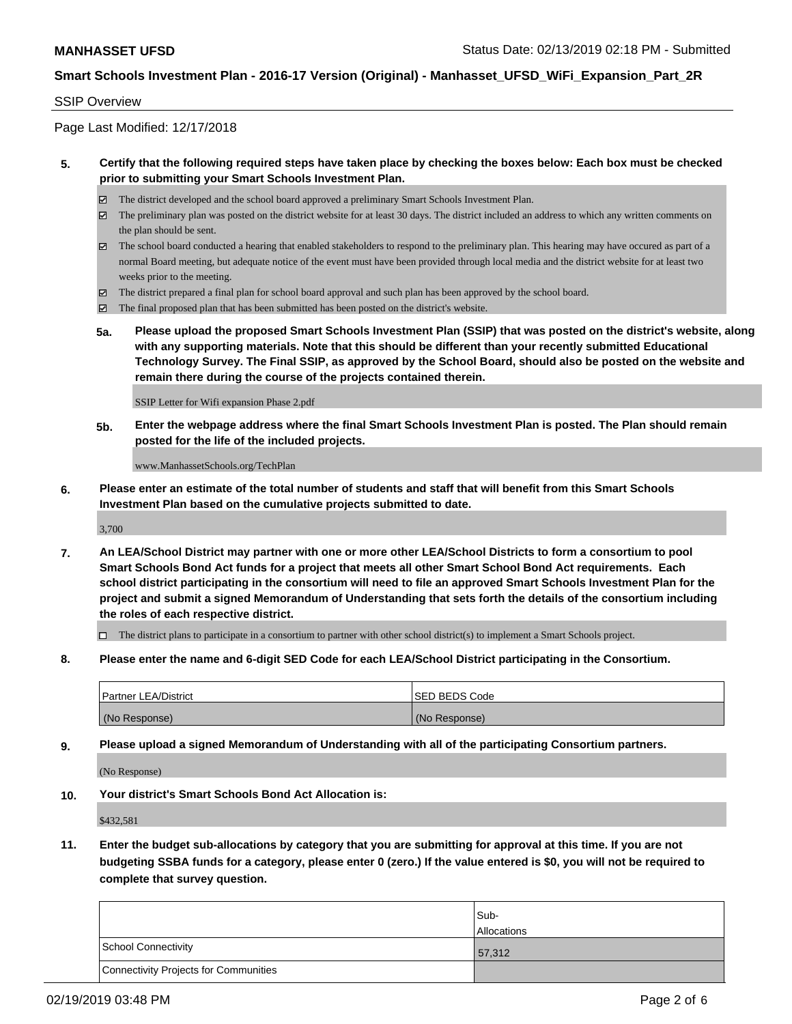#### SSIP Overview

Page Last Modified: 12/17/2018

### **5. Certify that the following required steps have taken place by checking the boxes below: Each box must be checked prior to submitting your Smart Schools Investment Plan.**

- The district developed and the school board approved a preliminary Smart Schools Investment Plan.
- $\boxtimes$  The preliminary plan was posted on the district website for at least 30 days. The district included an address to which any written comments on the plan should be sent.
- $\boxtimes$  The school board conducted a hearing that enabled stakeholders to respond to the preliminary plan. This hearing may have occured as part of a normal Board meeting, but adequate notice of the event must have been provided through local media and the district website for at least two weeks prior to the meeting.
- The district prepared a final plan for school board approval and such plan has been approved by the school board.
- $\boxtimes$  The final proposed plan that has been submitted has been posted on the district's website.
- **5a. Please upload the proposed Smart Schools Investment Plan (SSIP) that was posted on the district's website, along with any supporting materials. Note that this should be different than your recently submitted Educational Technology Survey. The Final SSIP, as approved by the School Board, should also be posted on the website and remain there during the course of the projects contained therein.**

SSIP Letter for Wifi expansion Phase 2.pdf

**5b. Enter the webpage address where the final Smart Schools Investment Plan is posted. The Plan should remain posted for the life of the included projects.**

www.ManhassetSchools.org/TechPlan

**6. Please enter an estimate of the total number of students and staff that will benefit from this Smart Schools Investment Plan based on the cumulative projects submitted to date.**

3,700

**7. An LEA/School District may partner with one or more other LEA/School Districts to form a consortium to pool Smart Schools Bond Act funds for a project that meets all other Smart School Bond Act requirements. Each school district participating in the consortium will need to file an approved Smart Schools Investment Plan for the project and submit a signed Memorandum of Understanding that sets forth the details of the consortium including the roles of each respective district.**

 $\Box$  The district plans to participate in a consortium to partner with other school district(s) to implement a Smart Schools project.

**8. Please enter the name and 6-digit SED Code for each LEA/School District participating in the Consortium.**

| <b>Partner LEA/District</b> | <b>ISED BEDS Code</b> |
|-----------------------------|-----------------------|
| (No Response)               | (No Response)         |

**9. Please upload a signed Memorandum of Understanding with all of the participating Consortium partners.**

(No Response)

**10. Your district's Smart Schools Bond Act Allocation is:**

\$432,581

**11. Enter the budget sub-allocations by category that you are submitting for approval at this time. If you are not budgeting SSBA funds for a category, please enter 0 (zero.) If the value entered is \$0, you will not be required to complete that survey question.**

|                                       | Sub-<br><b>Allocations</b> |
|---------------------------------------|----------------------------|
| School Connectivity                   | 57,312                     |
| Connectivity Projects for Communities |                            |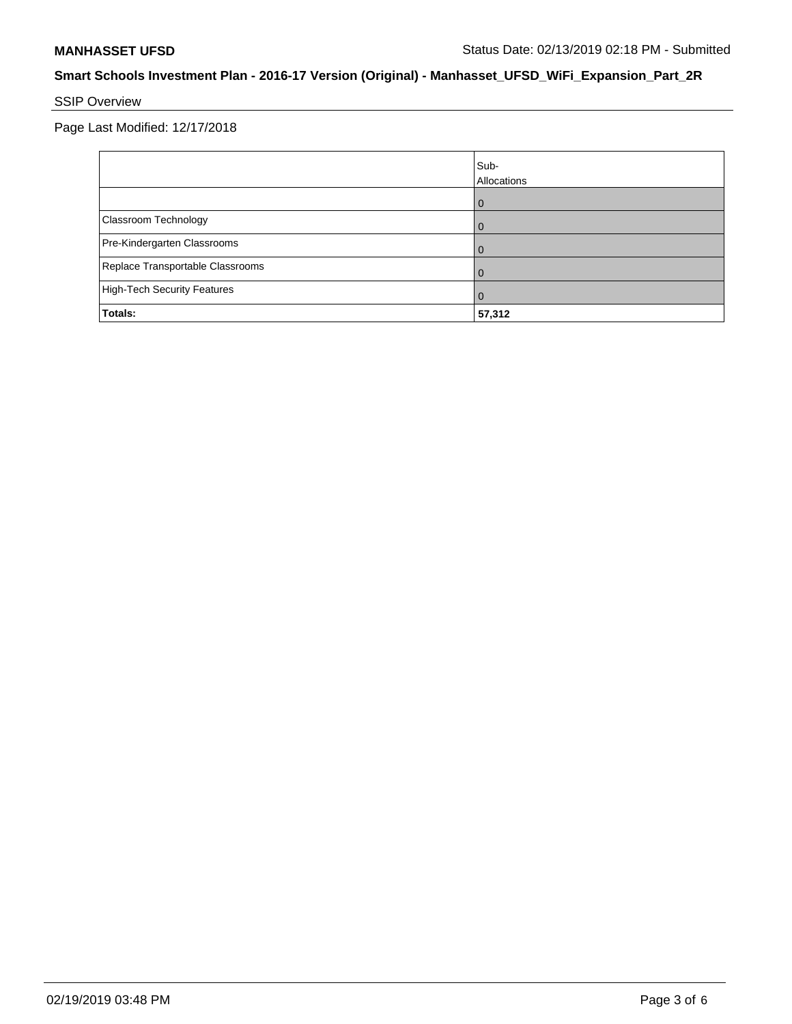# SSIP Overview

Page Last Modified: 12/17/2018

|                                    | Sub-<br>Allocations |
|------------------------------------|---------------------|
|                                    |                     |
| Classroom Technology               |                     |
| Pre-Kindergarten Classrooms        |                     |
| Replace Transportable Classrooms   |                     |
| <b>High-Tech Security Features</b> | Û                   |
| Totals:                            | 57,312              |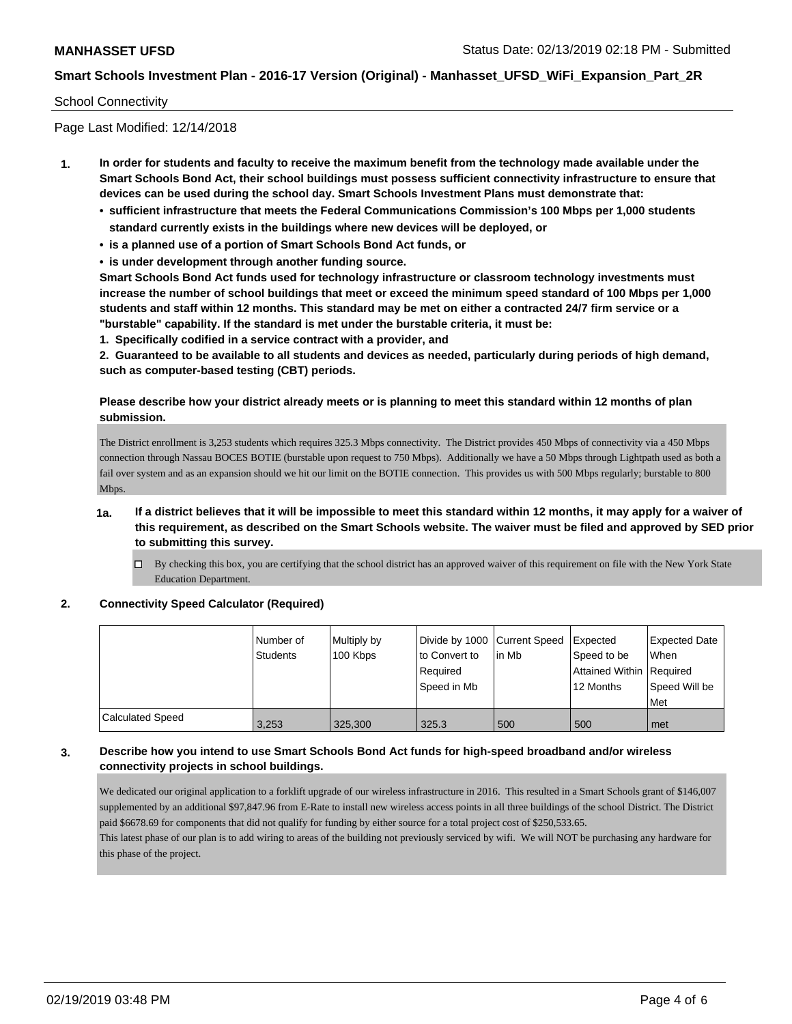#### School Connectivity

Page Last Modified: 12/14/2018

- **1. In order for students and faculty to receive the maximum benefit from the technology made available under the Smart Schools Bond Act, their school buildings must possess sufficient connectivity infrastructure to ensure that devices can be used during the school day. Smart Schools Investment Plans must demonstrate that:**
	- **• sufficient infrastructure that meets the Federal Communications Commission's 100 Mbps per 1,000 students standard currently exists in the buildings where new devices will be deployed, or**
	- **• is a planned use of a portion of Smart Schools Bond Act funds, or**
	- **• is under development through another funding source.**

**Smart Schools Bond Act funds used for technology infrastructure or classroom technology investments must increase the number of school buildings that meet or exceed the minimum speed standard of 100 Mbps per 1,000 students and staff within 12 months. This standard may be met on either a contracted 24/7 firm service or a "burstable" capability. If the standard is met under the burstable criteria, it must be:**

**1. Specifically codified in a service contract with a provider, and**

**2. Guaranteed to be available to all students and devices as needed, particularly during periods of high demand, such as computer-based testing (CBT) periods.**

### **Please describe how your district already meets or is planning to meet this standard within 12 months of plan submission.**

The District enrollment is 3,253 students which requires 325.3 Mbps connectivity. The District provides 450 Mbps of connectivity via a 450 Mbps connection through Nassau BOCES BOTIE (burstable upon request to 750 Mbps). Additionally we have a 50 Mbps through Lightpath used as both a fail over system and as an expansion should we hit our limit on the BOTIE connection. This provides us with 500 Mbps regularly; burstable to 800 Mbps.

- **1a. If a district believes that it will be impossible to meet this standard within 12 months, it may apply for a waiver of this requirement, as described on the Smart Schools website. The waiver must be filed and approved by SED prior to submitting this survey.**
	- $\Box$  By checking this box, you are certifying that the school district has an approved waiver of this requirement on file with the New York State Education Department.

#### **2. Connectivity Speed Calculator (Required)**

|                         | l Number of<br><b>Students</b> | Multiply by<br>100 Kbps | Divide by 1000 Current Speed<br>to Convert to<br>Required<br>Speed in Mb | lin Mb | <b>Expected</b><br>Speed to be<br>Attained Within Required<br>12 Months | <b>Expected Date</b><br>When<br>Speed Will be<br>Met |
|-------------------------|--------------------------------|-------------------------|--------------------------------------------------------------------------|--------|-------------------------------------------------------------------------|------------------------------------------------------|
| <b>Calculated Speed</b> | 3,253                          | 325,300                 | 325.3                                                                    | 500    | 500                                                                     | l met                                                |

### **3. Describe how you intend to use Smart Schools Bond Act funds for high-speed broadband and/or wireless connectivity projects in school buildings.**

We dedicated our original application to a forklift upgrade of our wireless infrastructure in 2016. This resulted in a Smart Schools grant of \$146,007 supplemented by an additional \$97,847.96 from E-Rate to install new wireless access points in all three buildings of the school District. The District paid \$6678.69 for components that did not qualify for funding by either source for a total project cost of \$250,533.65. This latest phase of our plan is to add wiring to areas of the building not previously serviced by wifi. We will NOT be purchasing any hardware for

this phase of the project.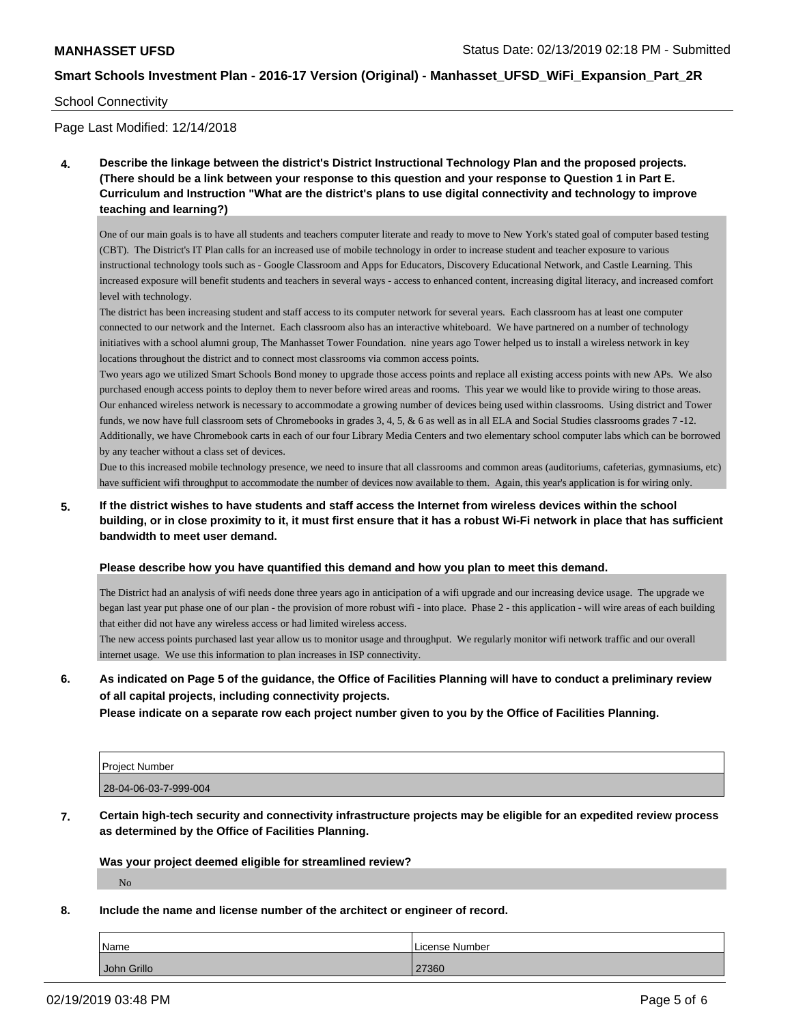#### School Connectivity

Page Last Modified: 12/14/2018

**4. Describe the linkage between the district's District Instructional Technology Plan and the proposed projects. (There should be a link between your response to this question and your response to Question 1 in Part E. Curriculum and Instruction "What are the district's plans to use digital connectivity and technology to improve teaching and learning?)**

One of our main goals is to have all students and teachers computer literate and ready to move to New York's stated goal of computer based testing (CBT). The District's IT Plan calls for an increased use of mobile technology in order to increase student and teacher exposure to various instructional technology tools such as - Google Classroom and Apps for Educators, Discovery Educational Network, and Castle Learning. This increased exposure will benefit students and teachers in several ways - access to enhanced content, increasing digital literacy, and increased comfort level with technology.

The district has been increasing student and staff access to its computer network for several years. Each classroom has at least one computer connected to our network and the Internet. Each classroom also has an interactive whiteboard. We have partnered on a number of technology initiatives with a school alumni group, The Manhasset Tower Foundation. nine years ago Tower helped us to install a wireless network in key locations throughout the district and to connect most classrooms via common access points.

Two years ago we utilized Smart Schools Bond money to upgrade those access points and replace all existing access points with new APs. We also purchased enough access points to deploy them to never before wired areas and rooms. This year we would like to provide wiring to those areas. Our enhanced wireless network is necessary to accommodate a growing number of devices being used within classrooms. Using district and Tower funds, we now have full classroom sets of Chromebooks in grades 3, 4, 5, & 6 as well as in all ELA and Social Studies classrooms grades 7 -12. Additionally, we have Chromebook carts in each of our four Library Media Centers and two elementary school computer labs which can be borrowed by any teacher without a class set of devices.

Due to this increased mobile technology presence, we need to insure that all classrooms and common areas (auditoriums, cafeterias, gymnasiums, etc) have sufficient wifi throughput to accommodate the number of devices now available to them. Again, this year's application is for wiring only.

**5. If the district wishes to have students and staff access the Internet from wireless devices within the school building, or in close proximity to it, it must first ensure that it has a robust Wi-Fi network in place that has sufficient bandwidth to meet user demand.**

#### **Please describe how you have quantified this demand and how you plan to meet this demand.**

The District had an analysis of wifi needs done three years ago in anticipation of a wifi upgrade and our increasing device usage. The upgrade we began last year put phase one of our plan - the provision of more robust wifi - into place. Phase 2 - this application - will wire areas of each building that either did not have any wireless access or had limited wireless access.

The new access points purchased last year allow us to monitor usage and throughput. We regularly monitor wifi network traffic and our overall internet usage. We use this information to plan increases in ISP connectivity.

**6. As indicated on Page 5 of the guidance, the Office of Facilities Planning will have to conduct a preliminary review of all capital projects, including connectivity projects.**

**Please indicate on a separate row each project number given to you by the Office of Facilities Planning.**

| <b>Project Number</b> |  |
|-----------------------|--|
| 28-04-06-03-7-999-004 |  |

**7. Certain high-tech security and connectivity infrastructure projects may be eligible for an expedited review process as determined by the Office of Facilities Planning.**

**Was your project deemed eligible for streamlined review?**

No

# **8. Include the name and license number of the architect or engineer of record.**

| Name        | License Number |
|-------------|----------------|
| John Grillo | 27360          |